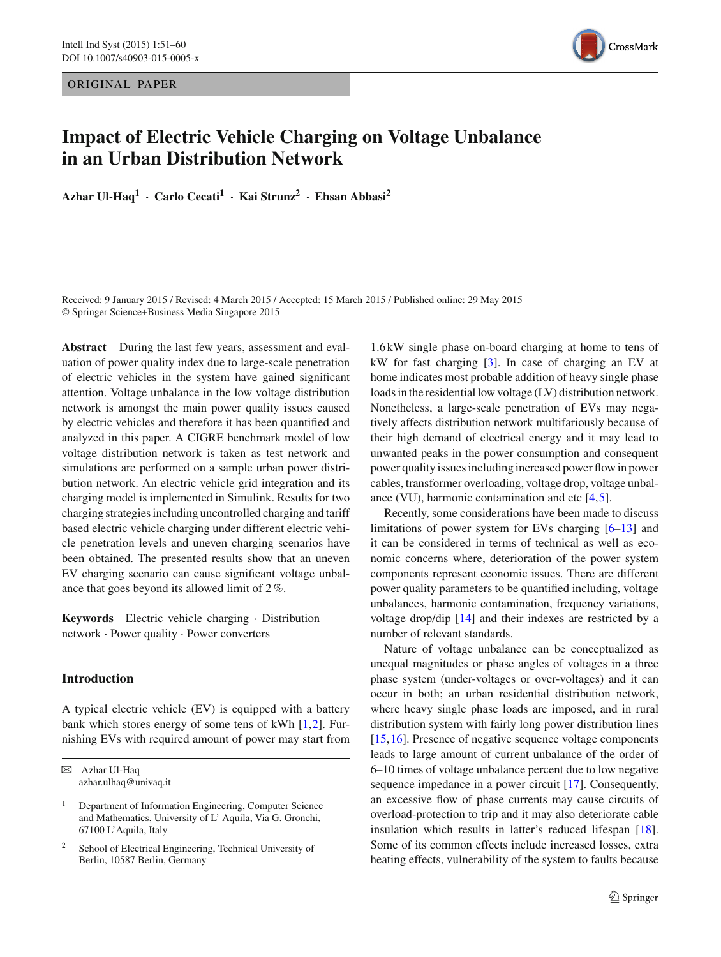ORIGINAL PAPER



# **Impact of Electric Vehicle Charging on Voltage Unbalance in an Urban Distribution Network**

**Azhar Ul-Haq1 · Carlo Cecati<sup>1</sup> · Kai Strunz2 · Ehsan Abbasi<sup>2</sup>**

Received: 9 January 2015 / Revised: 4 March 2015 / Accepted: 15 March 2015 / Published online: 29 May 2015 © Springer Science+Business Media Singapore 2015

**Abstract** During the last few years, assessment and evaluation of power quality index due to large-scale penetration of electric vehicles in the system have gained significant attention. Voltage unbalance in the low voltage distribution network is amongst the main power quality issues caused by electric vehicles and therefore it has been quantified and analyzed in this paper. A CIGRE benchmark model of low voltage distribution network is taken as test network and simulations are performed on a sample urban power distribution network. An electric vehicle grid integration and its charging model is implemented in Simulink. Results for two charging strategies including uncontrolled charging and tariff based electric vehicle charging under different electric vehicle penetration levels and uneven charging scenarios have been obtained. The presented results show that an uneven EV charging scenario can cause significant voltage unbalance that goes beyond its allowed limit of 2 %.

**Keywords** Electric vehicle charging · Distribution network · Power quality · Power converters

#### **Introduction**

A typical electric vehicle (EV) is equipped with a battery bank which stores energy of some tens of kWh [\[1](#page-8-0)[,2](#page-8-1)]. Furnishing EVs with required amount of power may start from

1.6 kW single phase on-board charging at home to tens of kW for fast charging [\[3\]](#page-8-2). In case of charging an EV at home indicates most probable addition of heavy single phase loads in the residential low voltage (LV) distribution network. Nonetheless, a large-scale penetration of EVs may negatively affects distribution network multifariously because of their high demand of electrical energy and it may lead to unwanted peaks in the power consumption and consequent power quality issues including increased power flow in power cables, transformer overloading, voltage drop, voltage unbalance (VU), harmonic contamination and etc  $[4,5]$  $[4,5]$  $[4,5]$ .

Recently, some considerations have been made to discuss limitations of power system for EVs charging [\[6](#page-8-5)[–13\]](#page-8-6) and it can be considered in terms of technical as well as economic concerns where, deterioration of the power system components represent economic issues. There are different power quality parameters to be quantified including, voltage unbalances, harmonic contamination, frequency variations, voltage drop/dip [\[14](#page-8-7)] and their indexes are restricted by a number of relevant standards.

Nature of voltage unbalance can be conceptualized as unequal magnitudes or phase angles of voltages in a three phase system (under-voltages or over-voltages) and it can occur in both; an urban residential distribution network, where heavy single phase loads are imposed, and in rural distribution system with fairly long power distribution lines [\[15](#page-8-8),[16\]](#page-8-9). Presence of negative sequence voltage components leads to large amount of current unbalance of the order of 6–10 times of voltage unbalance percent due to low negative sequence impedance in a power circuit [\[17\]](#page-9-0). Consequently, an excessive flow of phase currents may cause circuits of overload-protection to trip and it may also deteriorate cable insulation which results in latter's reduced lifespan [\[18](#page-9-1)]. Some of its common effects include increased losses, extra heating effects, vulnerability of the system to faults because

B Azhar Ul-Haq azhar.ulhaq@univaq.it

<sup>&</sup>lt;sup>1</sup> Department of Information Engineering, Computer Science and Mathematics, University of L' Aquila, Via G. Gronchi, 67100 L'Aquila, Italy

<sup>2</sup> School of Electrical Engineering, Technical University of Berlin, 10587 Berlin, Germany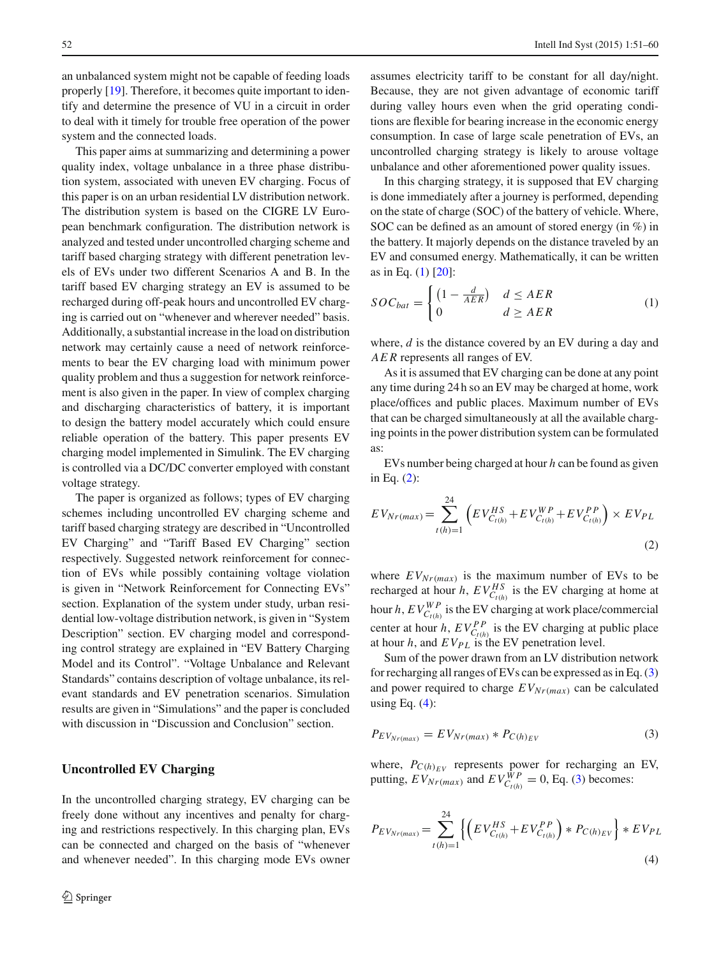an unbalanced system might not be capable of feeding loads properly [\[19](#page-9-2)]. Therefore, it becomes quite important to identify and determine the presence of VU in a circuit in order to deal with it timely for trouble free operation of the power system and the connected loads.

This paper aims at summarizing and determining a power quality index, voltage unbalance in a three phase distribution system, associated with uneven EV charging. Focus of this paper is on an urban residential LV distribution network. The distribution system is based on the CIGRE LV European benchmark configuration. The distribution network is analyzed and tested under uncontrolled charging scheme and tariff based charging strategy with different penetration levels of EVs under two different Scenarios A and B. In the tariff based EV charging strategy an EV is assumed to be recharged during off-peak hours and uncontrolled EV charging is carried out on "whenever and wherever needed" basis. Additionally, a substantial increase in the load on distribution network may certainly cause a need of network reinforcements to bear the EV charging load with minimum power quality problem and thus a suggestion for network reinforcement is also given in the paper. In view of complex charging and discharging characteristics of battery, it is important to design the battery model accurately which could ensure reliable operation of the battery. This paper presents EV charging model implemented in Simulink. The EV charging is controlled via a DC/DC converter employed with constant voltage strategy.

The paper is organized as follows; types of EV charging schemes including uncontrolled EV charging scheme and tariff based charging strategy are described in "Uncontrolled EV Charging" and "Tariff Based EV Charging" section respectively. Suggested network reinforcement for connection of EVs while possibly containing voltage violation is given in "Network Reinforcement for Connecting EVs" section. Explanation of the system under study, urban residential low-voltage distribution network, is given in "System Description" section. EV charging model and corresponding control strategy are explained in "EV Battery Charging Model and its Control". "Voltage Unbalance and Relevant Standards" contains description of voltage unbalance, its relevant standards and EV penetration scenarios. Simulation results are given in "Simulations" and the paper is concluded with discussion in "Discussion and Conclusion" section.

#### **Uncontrolled EV Charging**

In the uncontrolled charging strategy, EV charging can be freely done without any incentives and penalty for charging and restrictions respectively. In this charging plan, EVs can be connected and charged on the basis of "whenever and whenever needed". In this charging mode EVs owner

assumes electricity tariff to be constant for all day/night. Because, they are not given advantage of economic tariff during valley hours even when the grid operating conditions are flexible for bearing increase in the economic energy consumption. In case of large scale penetration of EVs, an uncontrolled charging strategy is likely to arouse voltage unbalance and other aforementioned power quality issues.

In this charging strategy, it is supposed that EV charging is done immediately after a journey is performed, depending on the state of charge (SOC) of the battery of vehicle. Where, SOC can be defined as an amount of stored energy (in %) in the battery. It majorly depends on the distance traveled by an EV and consumed energy. Mathematically, it can be written as in Eq. [\(1\)](#page-1-0) [\[20\]](#page-9-3):

<span id="page-1-0"></span>
$$
SOC_{bat} = \begin{cases} \left(1 - \frac{d}{AER}\right) & d \le AER\\ 0 & d \ge AER \end{cases}
$$
 (1)

where, *d* is the distance covered by an EV during a day and *AER* represents all ranges of EV.

As it is assumed that EV charging can be done at any point any time during 24 h so an EV may be charged at home, work place/offices and public places. Maximum number of EVs that can be charged simultaneously at all the available charging points in the power distribution system can be formulated as:

<span id="page-1-1"></span>EVs number being charged at hour *h* can be found as given in Eq. [\(2\)](#page-1-1):

$$
EV_{Nr(max)} = \sum_{t(h)=1}^{24} \left( EV_{C_{t(h)}}^{HS} + EV_{C_{t(h)}}^{WP} + EV_{C_{t(h)}}^{PP} \right) \times EV_{PL}
$$
\n(2)

where  $EV_{Nr(max)}$  is the maximum number of EVs to be recharged at hour *h*,  $EV_{C_{t(h)}}^{HS}$  is the EV charging at home at hour *h*,  $EV_{C_{t(h)}}^{WP}$  is the EV charging at work place/commercial center at hour *h*,  $EV_{C_{t(h)}}^{PP}$  is the EV charging at public place at hour  $h$ , and  $E V_{PL}$  is the EV penetration level.

Sum of the power drawn from an LV distribution network for recharging all ranges of EVs can be expressed as in Eq. [\(3\)](#page-1-2) and power required to charge  $EV_{Nr(max)}$  can be calculated using Eq.  $(4)$ :

<span id="page-1-2"></span>
$$
P_{EV_{Nr(max)}} = EV_{Nr(max)} * P_{C(h)_{EV}}
$$
 (3)

<span id="page-1-3"></span>where,  $P_{C(h)_{EV}}$  represents power for recharging an EV, putting,  $EV_{Nr(max)}$  and  $EV_{C_{t(h)}}^{WP} = 0$ , Eq. [\(3\)](#page-1-2) becomes:

$$
P_{EV_{Nr(max)}} = \sum_{t(h)=1}^{24} \left\{ \left( EV_{C_{t(h)}}^{HS} + EV_{C_{t(h)}}^{PP} \right) * P_{C(h)_{EV}} \right\} * EV_{PL}
$$
\n(4)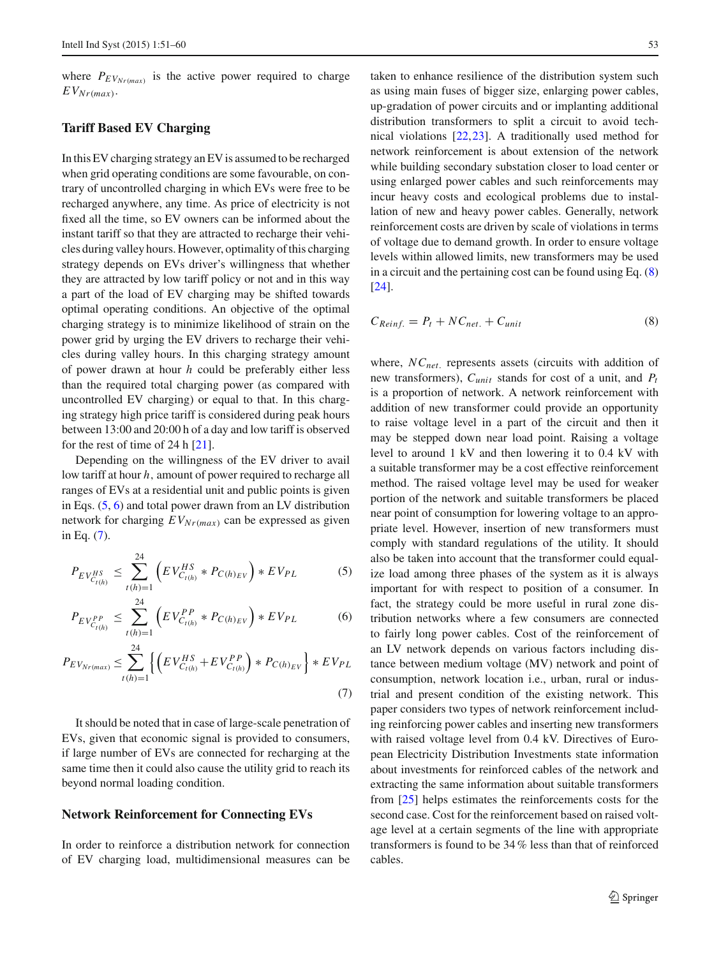where  $P_{EV_{Nr(max)}}$  is the active power required to charge *EVNr*(*max*).

## **Tariff Based EV Charging**

In this EV charging strategy an EV is assumed to be recharged when grid operating conditions are some favourable, on contrary of uncontrolled charging in which EVs were free to be recharged anywhere, any time. As price of electricity is not fixed all the time, so EV owners can be informed about the instant tariff so that they are attracted to recharge their vehicles during valley hours. However, optimality of this charging strategy depends on EVs driver's willingness that whether they are attracted by low tariff policy or not and in this way a part of the load of EV charging may be shifted towards optimal operating conditions. An objective of the optimal charging strategy is to minimize likelihood of strain on the power grid by urging the EV drivers to recharge their vehicles during valley hours. In this charging strategy amount of power drawn at hour *h* could be preferably either less than the required total charging power (as compared with uncontrolled EV charging) or equal to that. In this charging strategy high price tariff is considered during peak hours between 13:00 and 20:00 h of a day and low tariff is observed for the rest of time of 24 h [\[21\]](#page-9-4).

Depending on the willingness of the EV driver to avail low tariff at hour *h*, amount of power required to recharge all ranges of EVs at a residential unit and public points is given in Eqs. [\(5,](#page-2-0) [6\)](#page-2-0) and total power drawn from an LV distribution network for charging *EVNr*(*max*) can be expressed as given in Eq. [\(7\)](#page-2-0).

<span id="page-2-0"></span>
$$
P_{EV_{C_{t(h)}}^{HS}} \le \sum_{t(h)=1}^{24} \left( EV_{C_{t(h)}}^{HS} * P_{C(h)_{EV}} \right) * EV_{PL}
$$
 (5)

$$
P_{EV_{C_{t(h)}}^{PP}} \le \sum_{t(h)=1}^{24} \left( EV_{C_{t(h)}}^{PP} * P_{C(h)_{EV}} \right) * EV_{PL}
$$
 (6)

$$
P_{EV_{Nr(max)}} \le \sum_{t(h)=1}^{24} \left\{ \left( EV_{C_t(h)}^{HS} + EV_{C_t(h)}^{PP} \right) * P_{C(h)_{EV}} \right\} * EV_{PL}
$$
\n(7)

It should be noted that in case of large-scale penetration of EVs, given that economic signal is provided to consumers, if large number of EVs are connected for recharging at the same time then it could also cause the utility grid to reach its beyond normal loading condition.

#### **Network Reinforcement for Connecting EVs**

In order to reinforce a distribution network for connection of EV charging load, multidimensional measures can be

taken to enhance resilience of the distribution system such as using main fuses of bigger size, enlarging power cables, up-gradation of power circuits and or implanting additional distribution transformers to split a circuit to avoid technical violations [\[22](#page-9-5)[,23](#page-9-6)]. A traditionally used method for network reinforcement is about extension of the network while building secondary substation closer to load center or using enlarged power cables and such reinforcements may incur heavy costs and ecological problems due to installation of new and heavy power cables. Generally, network reinforcement costs are driven by scale of violations in terms of voltage due to demand growth. In order to ensure voltage levels within allowed limits, new transformers may be used in a circuit and the pertaining cost can be found using Eq. [\(8\)](#page-2-1) [\[24](#page-9-7)].

<span id="page-2-1"></span>
$$
C_{Reinf.} = P_t + NC_{net.} + C_{unit}
$$
\n(8)

where,  $NC_{net}$  represents assets (circuits with addition of new transformers),  $C_{unit}$  stands for cost of a unit, and  $P_t$ is a proportion of network. A network reinforcement with addition of new transformer could provide an opportunity to raise voltage level in a part of the circuit and then it may be stepped down near load point. Raising a voltage level to around 1 kV and then lowering it to 0.4 kV with a suitable transformer may be a cost effective reinforcement method. The raised voltage level may be used for weaker portion of the network and suitable transformers be placed near point of consumption for lowering voltage to an appropriate level. However, insertion of new transformers must comply with standard regulations of the utility. It should also be taken into account that the transformer could equalize load among three phases of the system as it is always important for with respect to position of a consumer. In fact, the strategy could be more useful in rural zone distribution networks where a few consumers are connected to fairly long power cables. Cost of the reinforcement of an LV network depends on various factors including distance between medium voltage (MV) network and point of consumption, network location i.e., urban, rural or industrial and present condition of the existing network. This paper considers two types of network reinforcement including reinforcing power cables and inserting new transformers with raised voltage level from 0.4 kV. Directives of European Electricity Distribution Investments state information about investments for reinforced cables of the network and extracting the same information about suitable transformers from [\[25](#page-9-8)] helps estimates the reinforcements costs for the second case. Cost for the reinforcement based on raised voltage level at a certain segments of the line with appropriate transformers is found to be 34 % less than that of reinforced cables.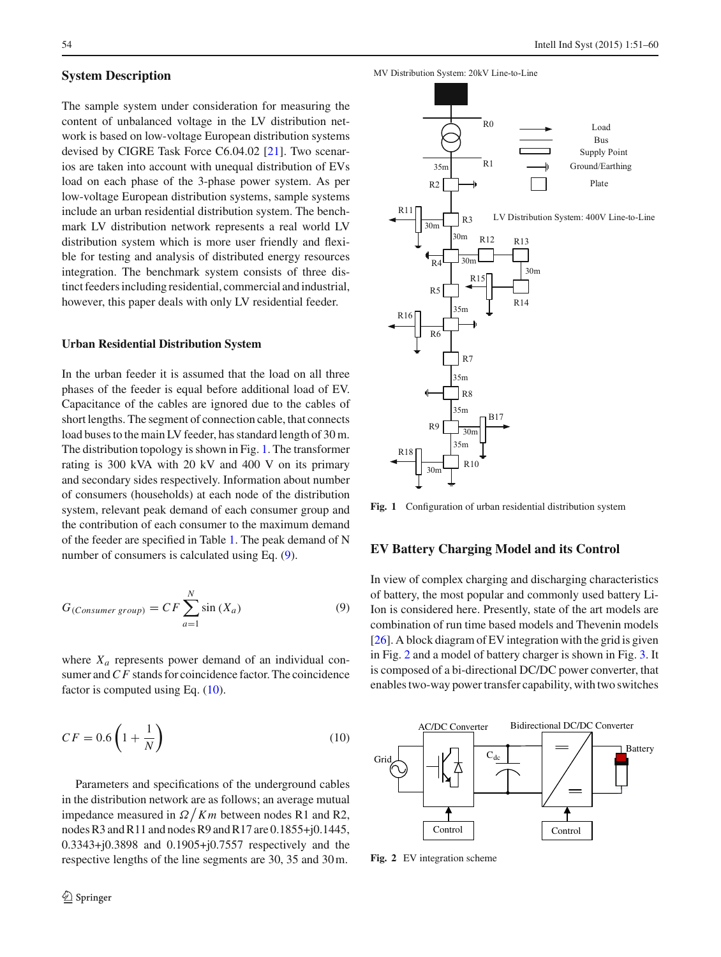#### **System Description**

The sample system under consideration for measuring the content of unbalanced voltage in the LV distribution network is based on low-voltage European distribution systems devised by CIGRE Task Force C6.04.02 [\[21](#page-9-4)]. Two scenarios are taken into account with unequal distribution of EVs load on each phase of the 3-phase power system. As per low-voltage European distribution systems, sample systems include an urban residential distribution system. The benchmark LV distribution network represents a real world LV distribution system which is more user friendly and flexible for testing and analysis of distributed energy resources integration. The benchmark system consists of three distinct feeders including residential, commercial and industrial, however, this paper deals with only LV residential feeder.

#### **Urban Residential Distribution System**

In the urban feeder it is assumed that the load on all three phases of the feeder is equal before additional load of EV. Capacitance of the cables are ignored due to the cables of short lengths. The segment of connection cable, that connects load buses to the main LV feeder, has standard length of 30 m. The distribution topology is shown in Fig. [1.](#page-3-0) The transformer rating is 300 kVA with 20 kV and 400 V on its primary and secondary sides respectively. Information about number of consumers (households) at each node of the distribution system, relevant peak demand of each consumer group and the contribution of each consumer to the maximum demand of the feeder are specified in Table [1.](#page-5-0) The peak demand of N number of consumers is calculated using Eq. [\(9\)](#page-3-1).

$$
G_{(Cosumer \ group)} = CF \sum_{a=1}^{N} \sin(X_a)
$$
 (9)

<span id="page-3-2"></span>where  $X_a$  represents power demand of an individual consumer and*C F* stands for coincidence factor. The coincidence factor is computed using Eq. [\(10\)](#page-3-2).

$$
CF = 0.6\left(1 + \frac{1}{N}\right) \tag{10}
$$

Parameters and specifications of the underground cables in the distribution network are as follows; an average mutual impedance measured in  $\Omega/Km$  between nodes R1 and R2, nodes R3 and R11 and nodes R9 and R17 are 0.1855+j0.1445, 0.3343+j0.3898 and 0.1905+j0.7557 respectively and the respective lengths of the line segments are 30, 35 and 30 m.

MV Distribution System: 20kV Line-to-Line



<span id="page-3-0"></span>**Fig. 1** Configuration of urban residential distribution system

## <span id="page-3-1"></span>**EV Battery Charging Model and its Control**

In view of complex charging and discharging characteristics of battery, the most popular and commonly used battery Li-Ion is considered here. Presently, state of the art models are combination of run time based models and Thevenin models [\[26](#page-9-9)]. A block diagram of EV integration with the grid is given in Fig. [2](#page-3-3) and a model of battery charger is shown in Fig. [3.](#page-4-0) It is composed of a bi-directional DC/DC power converter, that enables two-way power transfer capability, with two switches



<span id="page-3-3"></span>**Fig. 2** EV integration scheme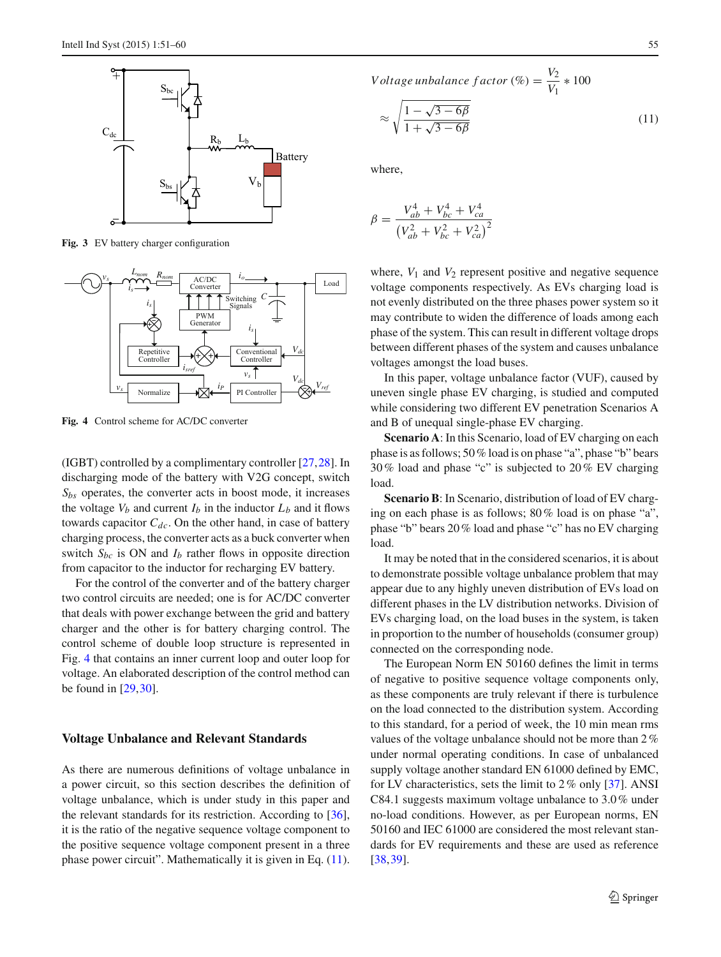

**Fig. 3** EV battery charger configuration

<span id="page-4-0"></span>

<span id="page-4-1"></span>**Fig. 4** Control scheme for AC/DC converter

(IGBT) controlled by a complimentary controller [\[27](#page-9-10)[,28](#page-9-11)]. In discharging mode of the battery with V2G concept, switch *Sbs* operates, the converter acts in boost mode, it increases the voltage  $V_b$  and current  $I_b$  in the inductor  $L_b$  and it flows towards capacitor  $C_{dc}$ . On the other hand, in case of battery charging process, the converter acts as a buck converter when switch  $S_{bc}$  is ON and  $I_b$  rather flows in opposite direction from capacitor to the inductor for recharging EV battery.

For the control of the converter and of the battery charger two control circuits are needed; one is for AC/DC converter that deals with power exchange between the grid and battery charger and the other is for battery charging control. The control scheme of double loop structure is represented in Fig. [4](#page-4-1) that contains an inner current loop and outer loop for voltage. An elaborated description of the control method can be found in [\[29](#page-9-12)[,30](#page-9-13)].

#### **Voltage Unbalance and Relevant Standards**

As there are numerous definitions of voltage unbalance in a power circuit, so this section describes the definition of voltage unbalance, which is under study in this paper and the relevant standards for its restriction. According to [\[36](#page-9-14)], it is the ratio of the negative sequence voltage component to the positive sequence voltage component present in a three phase power circuit". Mathematically it is given in Eq. [\(11\)](#page-4-2).

<span id="page-4-2"></span>
$$
Voltage unbalance factor (\%) = \frac{V_2}{V_1} * 100
$$

$$
\approx \sqrt{\frac{1 - \sqrt{3 - 6\beta}}{1 + \sqrt{3 - 6\beta}}}
$$
(11)

where,

$$
\beta = \frac{V_{ab}^4 + V_{bc}^4 + V_{ca}^4}{(V_{ab}^2 + V_{bc}^2 + V_{ca}^2)^2}
$$

where,  $V_1$  and  $V_2$  represent positive and negative sequence voltage components respectively. As EVs charging load is not evenly distributed on the three phases power system so it may contribute to widen the difference of loads among each phase of the system. This can result in different voltage drops between different phases of the system and causes unbalance voltages amongst the load buses.

In this paper, voltage unbalance factor (VUF), caused by uneven single phase EV charging, is studied and computed while considering two different EV penetration Scenarios A and B of unequal single-phase EV charging.

**Scenario A**: In this Scenario, load of EV charging on each phase is as follows; 50 % load is on phase "a", phase "b" bears 30 % load and phase "c" is subjected to 20 % EV charging load.

**Scenario B**: In Scenario, distribution of load of EV charging on each phase is as follows; 80 % load is on phase "a", phase "b" bears 20 % load and phase "c" has no EV charging load.

It may be noted that in the considered scenarios, it is about to demonstrate possible voltage unbalance problem that may appear due to any highly uneven distribution of EVs load on different phases in the LV distribution networks. Division of EVs charging load, on the load buses in the system, is taken in proportion to the number of households (consumer group) connected on the corresponding node.

The European Norm EN 50160 defines the limit in terms of negative to positive sequence voltage components only, as these components are truly relevant if there is turbulence on the load connected to the distribution system. According to this standard, for a period of week, the 10 min mean rms values of the voltage unbalance should not be more than 2 % under normal operating conditions. In case of unbalanced supply voltage another standard EN 61000 defined by EMC, for LV characteristics, sets the limit to 2 % only [\[37\]](#page-9-15). ANSI C84.1 suggests maximum voltage unbalance to 3.0 % under no-load conditions. However, as per European norms, EN 50160 and IEC 61000 are considered the most relevant standards for EV requirements and these are used as reference [\[38](#page-9-16),[39\]](#page-9-17).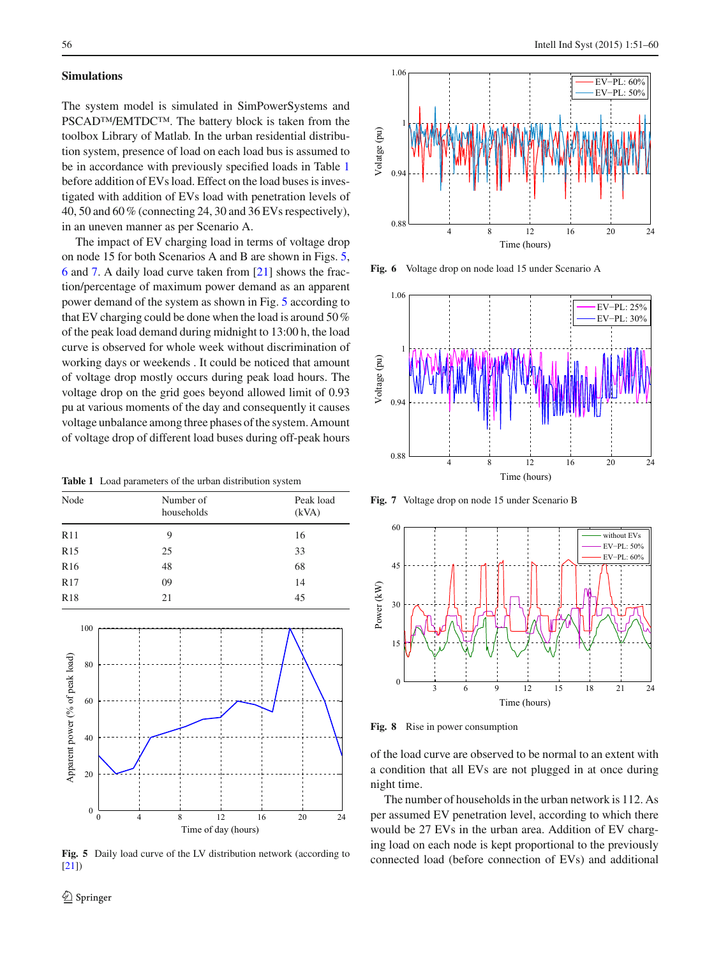#### **Simulations**

The system model is simulated in SimPowerSystems and PSCAD™/EMTDC™. The battery block is taken from the toolbox Library of Matlab. In the urban residential distribution system, presence of load on each load bus is assumed to be in accordance with previously specified loads in Table [1](#page-5-0) before addition of EVs load. Effect on the load buses is investigated with addition of EVs load with penetration levels of 40, 50 and 60 % (connecting 24, 30 and 36 EVs respectively), in an uneven manner as per Scenario A.

The impact of EV charging load in terms of voltage drop on node 15 for both Scenarios A and B are shown in Figs. [5,](#page-5-1) [6](#page-5-2) and [7.](#page-5-3) A daily load curve taken from [\[21](#page-9-4)] shows the fraction/percentage of maximum power demand as an apparent power demand of the system as shown in Fig. [5](#page-5-1) according to that EV charging could be done when the load is around 50 % of the peak load demand during midnight to 13:00 h, the load curve is observed for whole week without discrimination of working days or weekends . It could be noticed that amount of voltage drop mostly occurs during peak load hours. The voltage drop on the grid goes beyond allowed limit of 0.93 pu at various moments of the day and consequently it causes voltage unbalance among three phases of the system. Amount of voltage drop of different load buses during off-peak hours

**Table 1** Load parameters of the urban distribution system

<span id="page-5-0"></span>

| Node            | Number of<br>households | Peak load<br>(kVA) |  |  |
|-----------------|-------------------------|--------------------|--|--|
| R11             | 9                       | 16                 |  |  |
| R15             | 25                      | 33                 |  |  |
| R <sub>16</sub> | 48                      | 68                 |  |  |
| R17             | 09                      | 14                 |  |  |
| <b>R18</b>      | 21                      | 45                 |  |  |



<span id="page-5-1"></span>**Fig. 5** Daily load curve of the LV distribution network (according to [\[21](#page-9-4)])



**Fig. 6** Voltage drop on node load 15 under Scenario A

<span id="page-5-2"></span>

**Fig. 7** Voltage drop on node 15 under Scenario B

<span id="page-5-3"></span>

<span id="page-5-4"></span>**Fig. 8** Rise in power consumption

of the load curve are observed to be normal to an extent with a condition that all EVs are not plugged in at once during night time.

The number of households in the urban network is 112. As per assumed EV penetration level, according to which there would be 27 EVs in the urban area. Addition of EV charging load on each node is kept proportional to the previously connected load (before connection of EVs) and additional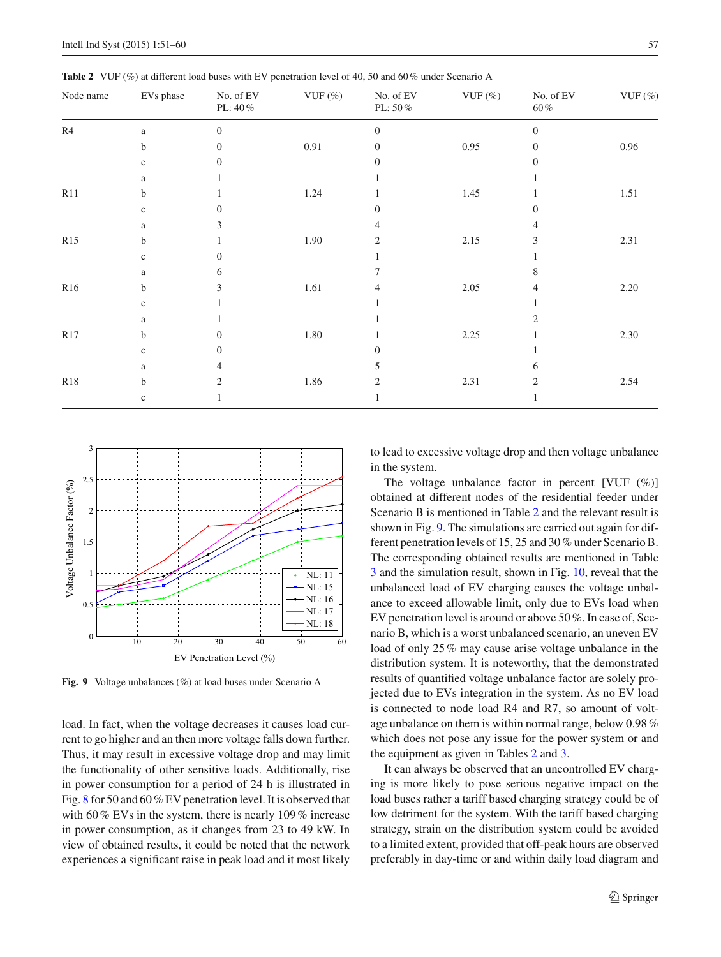**Table 2** VUF (%) at different load buses with EV penetration level of 40, 50 and 60% under Scenario A

<span id="page-6-0"></span>

| Node name | EVs phase   | No. of EV<br>PL: $40\,\%$ | VUF $(\%)$ | No. of EV<br>PL: $50\,\%$ | VUF $(\%)$ | No. of EV<br>60% | VUF $(\%)$ |
|-----------|-------------|---------------------------|------------|---------------------------|------------|------------------|------------|
| R4        | a           | $\Omega$                  |            | $\boldsymbol{0}$          |            | $\overline{0}$   |            |
|           | b           | $\Omega$                  | 0.91       | $\boldsymbol{0}$          | 0.95       | $\overline{0}$   | 0.96       |
|           | $\mathbf c$ | 0                         |            | $\Omega$                  |            | $\Omega$         |            |
|           | a           |                           |            |                           |            |                  |            |
| R11       | b           |                           | 1.24       |                           | 1.45       |                  | 1.51       |
|           | $\mathbf c$ |                           |            | $\Omega$                  |            | $\Omega$         |            |
|           | a           | 3                         |            | 4                         |            | 4                |            |
| R15       | b           |                           | 1.90       | $\overline{2}$            | 2.15       | 3                | 2.31       |
|           | $\mathbf c$ | $\Omega$                  |            |                           |            |                  |            |
|           | a           | 6                         |            |                           |            | 8                |            |
| R16       | b           | 3                         | 1.61       | 4                         | $2.05\,$   | 4                | 2.20       |
|           | $\mathbf c$ |                           |            |                           |            |                  |            |
|           | a           |                           |            |                           |            | $\overline{c}$   |            |
| R17       | b           | 0                         | 1.80       |                           | 2.25       |                  | 2.30       |
|           | $\mathbf c$ | $\Omega$                  |            | $\Omega$                  |            |                  |            |
|           | a           | 4                         |            | 5                         |            | 6                |            |
| R18       | b           | 2                         | 1.86       | $\mathfrak{2}$            | 2.31       | 2                | 2.54       |
|           | $\mathbf c$ |                           |            |                           |            |                  |            |



<span id="page-6-1"></span>Fig. 9 Voltage unbalances (%) at load buses under Scenario A

load. In fact, when the voltage decreases it causes load current to go higher and an then more voltage falls down further. Thus, it may result in excessive voltage drop and may limit the functionality of other sensitive loads. Additionally, rise in power consumption for a period of 24 h is illustrated in Fig. [8](#page-5-4) for 50 and 60 % EV penetration level. It is observed that with 60% EVs in the system, there is nearly 109% increase in power consumption, as it changes from 23 to 49 kW. In view of obtained results, it could be noted that the network experiences a significant raise in peak load and it most likely to lead to excessive voltage drop and then voltage unbalance in the system.

The voltage unbalance factor in percent [VUF  $(\%)$ ] obtained at different nodes of the residential feeder under Scenario B is mentioned in Table [2](#page-6-0) and the relevant result is shown in Fig. [9.](#page-6-1) The simulations are carried out again for different penetration levels of 15, 25 and 30 % under Scenario B. The corresponding obtained results are mentioned in Table [3](#page-7-0) and the simulation result, shown in Fig. [10,](#page-7-1) reveal that the unbalanced load of EV charging causes the voltage unbalance to exceed allowable limit, only due to EVs load when EV penetration level is around or above 50 %. In case of, Scenario B, which is a worst unbalanced scenario, an uneven EV load of only 25 % may cause arise voltage unbalance in the distribution system. It is noteworthy, that the demonstrated results of quantified voltage unbalance factor are solely projected due to EVs integration in the system. As no EV load is connected to node load R4 and R7, so amount of voltage unbalance on them is within normal range, below 0.98 % which does not pose any issue for the power system or and the equipment as given in Tables [2](#page-6-0) and [3.](#page-7-0)

It can always be observed that an uncontrolled EV charging is more likely to pose serious negative impact on the load buses rather a tariff based charging strategy could be of low detriment for the system. With the tariff based charging strategy, strain on the distribution system could be avoided to a limited extent, provided that off-peak hours are observed preferably in day-time or and within daily load diagram and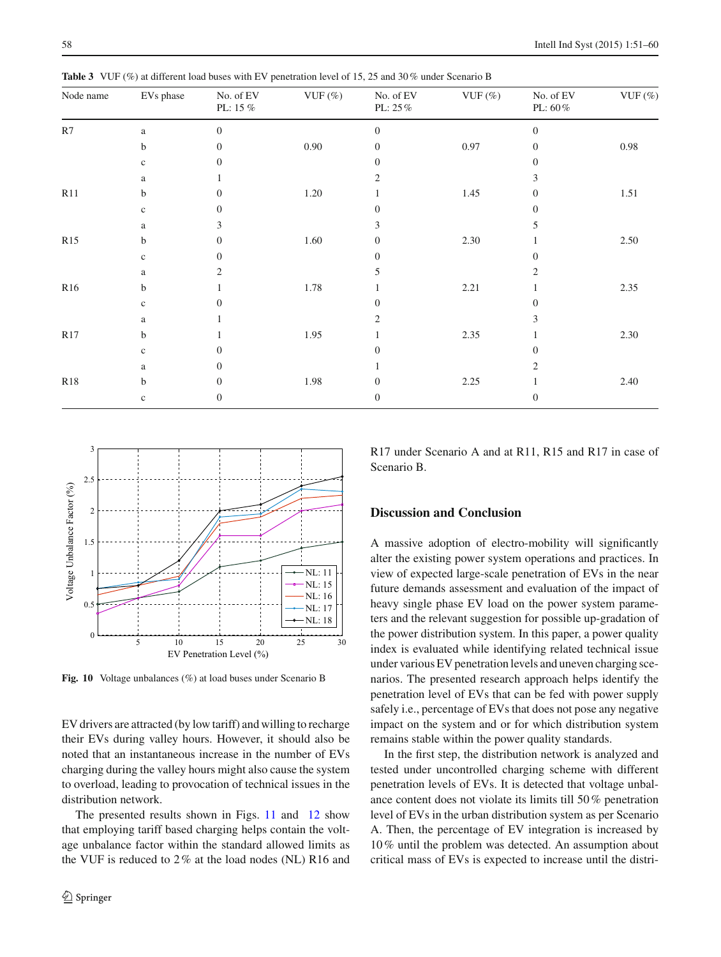<span id="page-7-0"></span>

| Node name      | EVs phase   | No. of ${\rm EV}$<br>PL: 15 $\%$ | VUF $(\%)$ | No. of ${\rm EV}$<br>PL: $25\,\%$ | VUF $(\%)$ | No. of EV<br>PL: $60\,\%$ | VUF $(\%)$ |
|----------------|-------------|----------------------------------|------------|-----------------------------------|------------|---------------------------|------------|
| $\mathbb{R}^7$ | $\rm{a}$    | $\theta$                         |            | $\Omega$                          |            | $\Omega$                  |            |
|                | b           | $\Omega$                         | 0.90       | $\mathbf{0}$                      | 0.97       | $\mathbf{0}$              | 0.98       |
|                | $\mathbf c$ | 0                                |            | $\Omega$                          |            | $\Omega$                  |            |
|                | a           |                                  |            | $\overline{c}$                    |            | 3                         |            |
| R11            | b           | $\theta$                         | 1.20       |                                   | 1.45       | $\mathbf{0}$              | 1.51       |
|                | $\mathbf c$ | 0                                |            | $\Omega$                          |            | $\Omega$                  |            |
|                | $\rm{a}$    | 3                                |            | 3                                 |            | 5                         |            |
| R15            | b           | 0                                | 1.60       | $\overline{0}$                    | 2.30       |                           | 2.50       |
|                | $\mathbf c$ | 0                                |            | $\Omega$                          |            | $\Omega$                  |            |
|                | a           | 2                                |            | 5                                 |            | 2                         |            |
| R16            | b           |                                  | 1.78       |                                   | 2.21       |                           | 2.35       |
|                | $\mathbf c$ |                                  |            | $\Omega$                          |            | $\Omega$                  |            |
|                | $\rm{a}$    |                                  |            | $\overline{c}$                    |            | 3                         |            |
| R17            | b           |                                  | 1.95       |                                   | 2.35       |                           | 2.30       |
|                | $\mathbf c$ | 0                                |            | $\Omega$                          |            | $\Omega$                  |            |
|                | a           | 0                                |            |                                   |            | 2                         |            |
| <b>R18</b>     | b           | $\Omega$                         | 1.98       | $\theta$                          | 2.25       |                           | 2.40       |
|                | $\mathbf c$ | 0                                |            | $\theta$                          |            | $\overline{0}$            |            |

**Table 3** VUF (%) at different load buses with EV penetration level of 15, 25 and 30 % under Scenario B



<span id="page-7-1"></span>Fig. 10 Voltage unbalances (%) at load buses under Scenario B

EV drivers are attracted (by low tariff) and willing to recharge their EVs during valley hours. However, it should also be noted that an instantaneous increase in the number of EVs charging during the valley hours might also cause the system to overload, leading to provocation of technical issues in the distribution network.

The presented results shown in Figs. [11](#page-8-10) and [12](#page-8-11) show that employing tariff based charging helps contain the voltage unbalance factor within the standard allowed limits as the VUF is reduced to  $2\%$  at the load nodes (NL) R16 and R17 under Scenario A and at R11, R15 and R17 in case of Scenario B.

#### **Discussion and Conclusion**

A massive adoption of electro-mobility will significantly alter the existing power system operations and practices. In view of expected large-scale penetration of EVs in the near future demands assessment and evaluation of the impact of heavy single phase EV load on the power system parameters and the relevant suggestion for possible up-gradation of the power distribution system. In this paper, a power quality index is evaluated while identifying related technical issue under various EV penetration levels and uneven charging scenarios. The presented research approach helps identify the penetration level of EVs that can be fed with power supply safely i.e., percentage of EVs that does not pose any negative impact on the system and or for which distribution system remains stable within the power quality standards.

In the first step, the distribution network is analyzed and tested under uncontrolled charging scheme with different penetration levels of EVs. It is detected that voltage unbalance content does not violate its limits till 50 % penetration level of EVs in the urban distribution system as per Scenario A. Then, the percentage of EV integration is increased by 10 % until the problem was detected. An assumption about critical mass of EVs is expected to increase until the distri-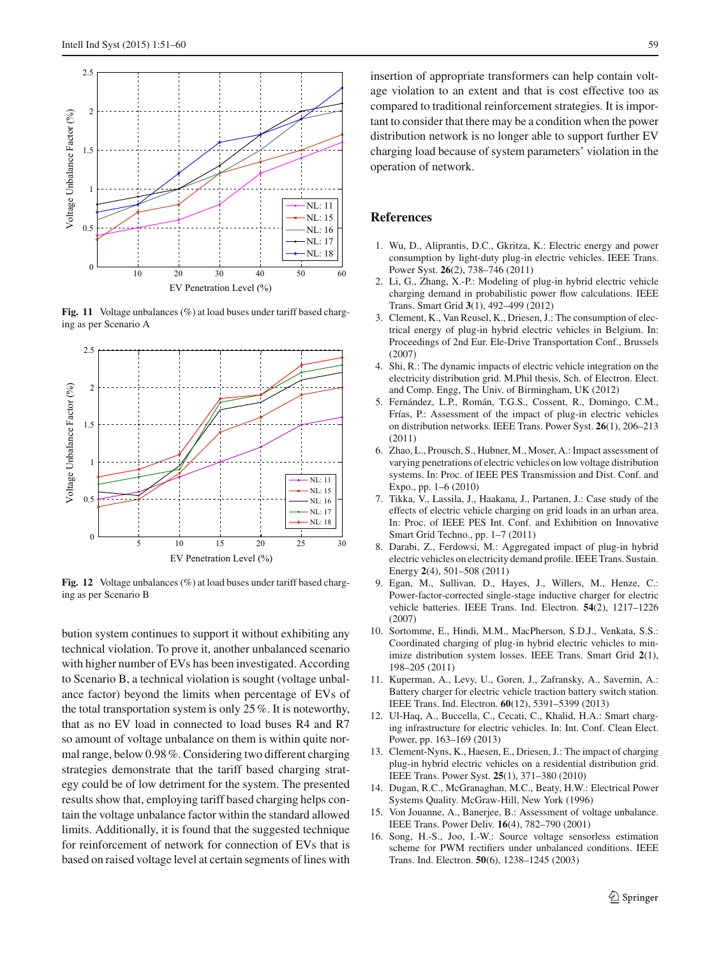

Fig. 11 Voltage unbalances (%) at load buses under tariff based charging as per Scenario A

<span id="page-8-10"></span>

<span id="page-8-11"></span>**Fig. 12** Voltage unbalances (%) at load buses under tariff based charging as per Scenario B

bution system continues to support it without exhibiting any technical violation. To prove it, another unbalanced scenario with higher number of EVs has been investigated. According to Scenario B, a technical violation is sought (voltage unbalance factor) beyond the limits when percentage of EVs of the total transportation system is only 25 %. It is noteworthy, that as no EV load in connected to load buses R4 and R7 so amount of voltage unbalance on them is within quite normal range, below 0.98 %. Considering two different charging strategies demonstrate that the tariff based charging strategy could be of low detriment for the system. The presented results show that, employing tariff based charging helps contain the voltage unbalance factor within the standard allowed limits. Additionally, it is found that the suggested technique for reinforcement of network for connection of EVs that is based on raised voltage level at certain segments of lines with insertion of appropriate transformers can help contain voltage violation to an extent and that is cost effective too as compared to traditional reinforcement strategies. It is important to consider that there may be a condition when the power distribution network is no longer able to support further EV charging load because of system parameters' violation in the operation of network.

# <span id="page-8-0"></span>**References**

- 1. Wu, D., Aliprantis, D.C., Gkritza, K.: Electric energy and power consumption by light-duty plug-in electric vehicles. IEEE Trans. Power Syst. **26**(2), 738–746 (2011)
- <span id="page-8-1"></span>2. Li, G., Zhang, X.-P.: Modeling of plug-in hybrid electric vehicle charging demand in probabilistic power flow calculations. IEEE Trans. Smart Grid **3**(1), 492–499 (2012)
- <span id="page-8-2"></span>3. Clement, K., Van Reusel, K., Driesen, J.: The consumption of electrical energy of plug-in hybrid electric vehicles in Belgium. In: Proceedings of 2nd Eur. Ele-Drive Transportation Conf., Brussels (2007)
- <span id="page-8-3"></span>4. Shi, R.: The dynamic impacts of electric vehicle integration on the electricity distribution grid. M.Phil thesis, Sch. of Electron. Elect. and Comp. Engg, The Univ. of Birmingham, UK (2012)
- <span id="page-8-4"></span>5. Fernández, L.P., Román, T.G.S., Cossent, R., Domingo, C.M., Frías, P.: Assessment of the impact of plug-in electric vehicles on distribution networks. IEEE Trans. Power Syst. **26**(1), 206–213 (2011)
- <span id="page-8-5"></span>6. Zhao, L., Prousch, S., Hubner, M., Moser, A.: Impact assessment of varying penetrations of electric vehicles on low voltage distribution systems. In: Proc. of IEEE PES Transmission and Dist. Conf. and Expo., pp. 1–6 (2010)
- 7. Tikka, V., Lassila, J., Haakana, J., Partanen, J.: Case study of the effects of electric vehicle charging on grid loads in an urban area. In: Proc. of IEEE PES Int. Conf. and Exhibition on Innovative Smart Grid Techno., pp. 1–7 (2011)
- 8. Darabi, Z., Ferdowsi, M.: Aggregated impact of plug-in hybrid electric vehicles on electricity demand profile. IEEE Trans. Sustain. Energy **2**(4), 501–508 (2011)
- 9. Egan, M., Sullivan, D., Hayes, J., Willers, M., Henze, C.: Power-factor-corrected single-stage inductive charger for electric vehicle batteries. IEEE Trans. Ind. Electron. **54**(2), 1217–1226 (2007)
- 10. Sortomme, E., Hindi, M.M., MacPherson, S.D.J., Venkata, S.S.: Coordinated charging of plug-in hybrid electric vehicles to minimize distribution system losses. IEEE Trans. Smart Grid **2**(1), 198–205 (2011)
- 11. Kuperman, A., Levy, U., Goren, J., Zafransky, A., Savernin, A.: Battery charger for electric vehicle traction battery switch station. IEEE Trans. Ind. Electron. **60**(12), 5391–5399 (2013)
- 12. Ul-Haq, A., Buccella, C., Cecati, C., Khalid, H.A.: Smart charging infrastructure for electric vehicles. In: Int. Conf. Clean Elect. Power, pp. 163–169 (2013)
- <span id="page-8-6"></span>13. Clement-Nyns, K., Haesen, E., Driesen, J.: The impact of charging plug-in hybrid electric vehicles on a residential distribution grid. IEEE Trans. Power Syst. **25**(1), 371–380 (2010)
- <span id="page-8-7"></span>14. Dugan, R.C., McGranaghan, M.C., Beaty, H.W.: Electrical Power Systems Quality. McGraw-Hill, New York (1996)
- <span id="page-8-8"></span>15. Von Jouanne, A., Banerjee, B.: Assessment of voltage unbalance. IEEE Trans. Power Deliv. **16**(4), 782–790 (2001)
- <span id="page-8-9"></span>16. Song, H.-S., Joo, I.-W.: Source voltage sensorless estimation scheme for PWM rectifiers under unbalanced conditions. IEEE Trans. Ind. Electron. **50**(6), 1238–1245 (2003)